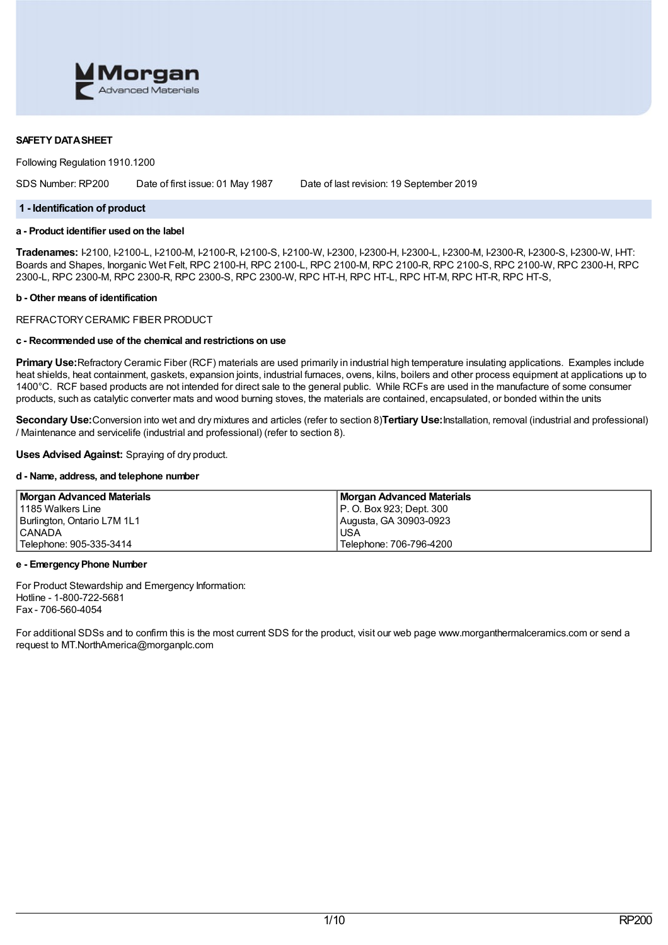

## **SAFETY DATASHEET**

Following Regulation 1910.1200

SDS Number: RP200 Date of first issue: 01 May 1987 Date of last revision: 19 September 2019

### **1 - Identification of product**

## **a - Product identifier used on the label**

**Tradenames:** I-2100, I-2100-L, I-2100-M, I-2100-R, I-2100-S, I-2100-W, I-2300, I-2300-H, I-2300-L, I-2300-M, I-2300-R, I-2300-S, I-2300-W, I-HT: Boards and Shapes, Inorganic Wet Felt, RPC 2100-H, RPC 2100-L, RPC 2100-M, RPC 2100-R, RPC 2100-S, RPC 2100-W, RPC 2300-H, RPC 2300-L, RPC 2300-M, RPC 2300-R, RPC 2300-S, RPC 2300-W, RPC HT-H, RPC HT-L, RPC HT-M, RPC HT-R, RPC HT-S,

#### **b - Other means of identification**

## REFRACTORYCERAMIC FIBER PRODUCT

## **c - Recommended use of the chemical and restrictions on use**

**Primary Use:**Refractory Ceramic Fiber (RCF) materials are used primarily in industrial high temperature insulating applications. Examples include heat shields, heat containment, gaskets, expansion joints, industrial furnaces, ovens, kilns, boilers and other process equipment at applications up to 1400°C. RCF based products are not intended for direct sale to the general public. While RCFs are used in the manufacture of some consumer products, such as catalytic converter mats and wood burning stoves, the materials are contained, encapsulated, or bonded within the units

**Secondary Use:**Conversion into wet and dry mixtures and articles (refer to section 8)**Tertiary Use:**Installation, removal (industrial and professional) / Maintenance and servicelife (industrial and professional) (refer to section 8).

**Uses Advised Against:** Spraying of dry product.

### **d - Name, address, and telephone number**

| <b>Morgan Advanced Materials</b>     | <b>Morgan Advanced Materials</b> |
|--------------------------------------|----------------------------------|
| 11185 Walkers Line                   | P. O. Box 923; Dept. 300         |
| Burlington, Ontario L7M 1L1          | Augusta, GA 30903-0923           |
| I CANADA                             | <b>USA</b>                       |
| <sup>1</sup> Telephone: 905-335-3414 | Telephone: 706-796-4200          |

## **e - EmergencyPhone Number**

For Product Stewardship and Emergency Information: Hotline - 1-800-722-5681 Fax - 706-560-4054

For additional SDSs and to confirm this is the most current SDS for the product, visit our web page www.morganthermalceramics.com or send a request to MT.NorthAmerica@morganplc.com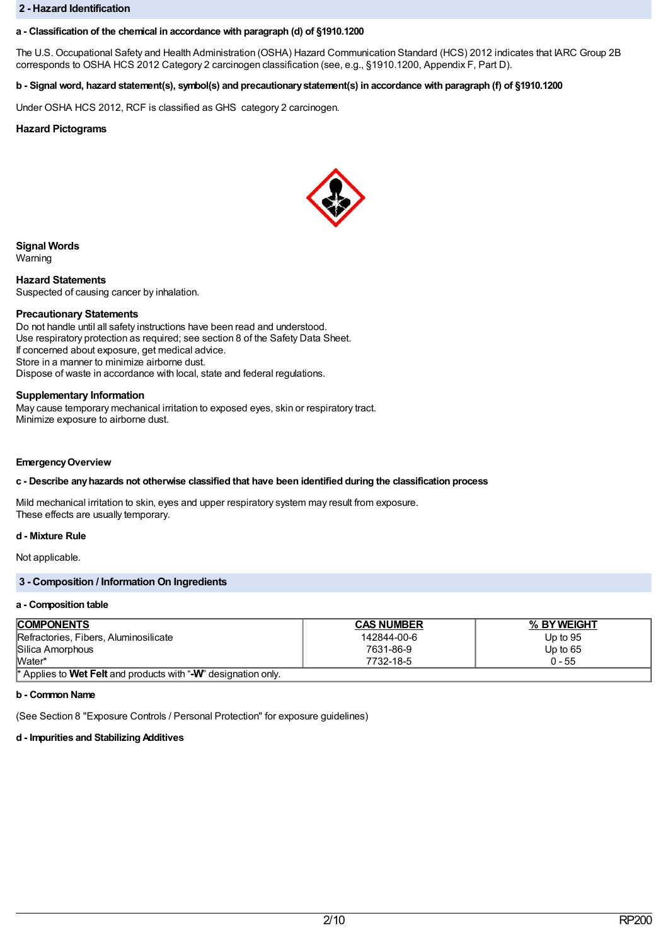### **2 - Hazard Identification**

## **a - Classification of the chemical in accordance with paragraph (d) of §1910.1200**

The U.S. Occupational Safety and Health Administration (OSHA) Hazard Communication Standard (HCS) 2012 indicates that IARC Group 2B corresponds to OSHA HCS 2012 Category 2 carcinogen classification (see, e.g., §1910.1200, Appendix F, Part D).

## b - Signal word, hazard statement(s), symbol(s) and precautionary statement(s) in accordance with paragraph (f) of §1910.1200

Under OSHA HCS 2012, RCF is classified as GHS category 2 carcinogen.

## **Hazard Pictograms**



**Signal Words**

Warning

**Hazard Statements** Suspected of causing cancer by inhalation.

## **Precautionary Statements**

Do not handle until all safety instructions have been read and understood. Use respiratory protection as required; see section 8 of the Safety Data Sheet. If concerned about exposure, get medical advice. Store in a manner to minimize airborne dust. Dispose of waste in accordance with local, state and federal regulations.

#### **Supplementary Information**

May cause temporary mechanical irritation to exposed eyes, skin or respiratory tract. Minimize exposure to airborne dust.

#### **EmergencyOverview**

## **c - Describe anyhazards not otherwise classified that have been identified during the classification process**

Mild mechanical irritation to skin, eyes and upper respiratory system may result from exposure. These effects are usually temporary.

## **d - Mixture Rule**

Not applicable.

## **3 - Composition / Information On Ingredients**

#### **a - Composition table**

| <b>COMPONENTS</b>                                                                         | <b>CAS NUMBER</b> | % BY WEIGHT |  |  |
|-------------------------------------------------------------------------------------------|-------------------|-------------|--|--|
| Refractories, Fibers, Aluminosilicate                                                     | 142844-00-6       | Up to $95$  |  |  |
| Silica Amorphous                                                                          | 7631-86-9         | Up to $65$  |  |  |
| Water*                                                                                    | 7732-18-5         | $0 - 55$    |  |  |
| <sup>*</sup> Applies to <b>Wet Felt</b> and products with "- <b>W</b> " designation only. |                   |             |  |  |

#### **b - Common Name**

(See Section 8 "Exposure Controls / Personal Protection" for exposure guidelines)

## **d - Impurities and Stabilizing Additives**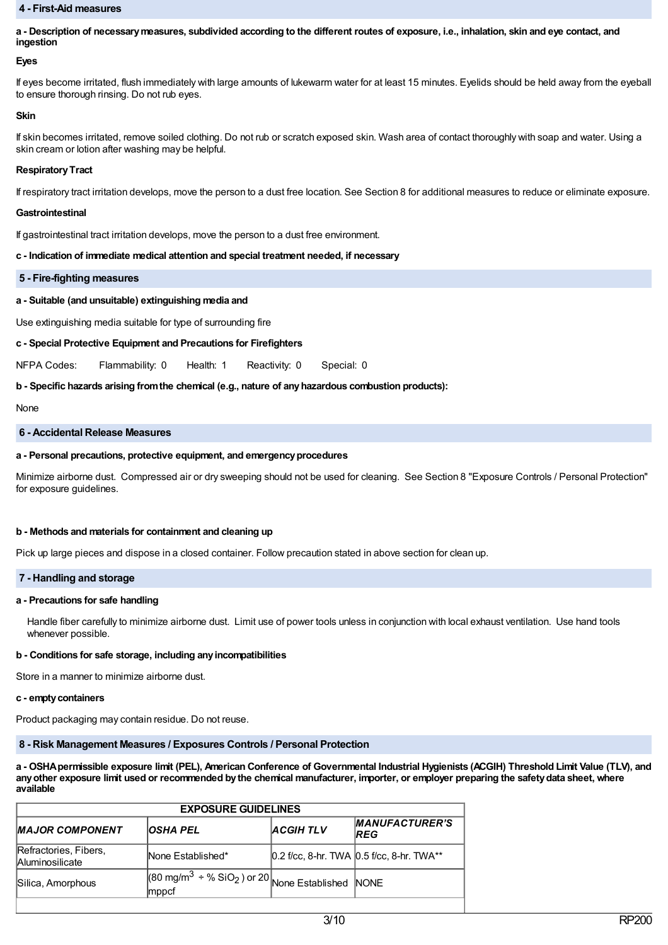#### **4 - First-Aid measures**

a - Description of necessary measures, subdivided according to the different routes of exposure, i.e., inhalation, skin and eye contact, and **ingestion**

#### **Eyes**

If eyes become irritated, flush immediately with large amounts of lukewarm water for at least 15 minutes. Eyelids should be held away from the eyeball to ensure thorough rinsing. Do not rub eyes.

#### **Skin**

If skin becomes irritated, remove soiled clothing. Do not rub or scratch exposed skin. Wash area of contact thoroughly with soap and water. Using a skin cream or lotion after washing may be helpful.

### **RespiratoryTract**

If respiratory tract irritation develops, move the person to a dust free location. See Section 8 for additional measures to reduce or eliminate exposure.

#### **Gastrointestinal**

If gastrointestinal tract irritation develops, move the person to a dust free environment.

### **c - Indication of immediate medical attention and special treatment needed, if necessary**

#### **5 - Fire-fighting measures**

## **a - Suitable (and unsuitable) extinguishing media and**

Use extinguishing media suitable for type of surrounding fire

## **c - Special Protective Equipment and Precautions for Firefighters**

NFPA Codes: Flammability: 0 Health: 1 Reactivity: 0 Special: 0

## **b - Specific hazards arising fromthe chemical (e.g., nature of anyhazardous combustion products):**

None

#### **6 - Accidental Release Measures**

## **a - Personal precautions, protective equipment, and emergencyprocedures**

Minimize airborne dust. Compressed air or dry sweeping should not be used for cleaning. See Section 8 "Exposure Controls / Personal Protection" for exposure guidelines.

## **b - Methods and materials for containment and cleaning up**

Pick up large pieces and dispose in a closed container. Follow precaution stated in above section for clean up.

## **7 - Handling and storage**

#### **a - Precautions for safe handling**

Handle fiber carefully to minimize airborne dust. Limit use of power tools unless in conjunction with local exhaust ventilation. Use hand tools whenever possible.

## **b - Conditions for safe storage, including anyincompatibilities**

Store in a manner to minimize airborne dust.

#### **c - emptycontainers**

Product packaging may contain residue. Do not reuse.

## **8 - Risk Management Measures / Exposures Controls / Personal Protection**

a - OSHA permissible exposure limit (PEL), American Conference of Governmental Industrial Hygienists (ACGIH) Threshold Limit Value (TLV), and any other exposure limit used or recommended by the chemical manufacturer, importer, or employer preparing the safety data sheet, where **available**

| <b>EXPOSURE GUIDELINES</b>                      |                                                                                  |                 |                                           |  |  |
|-------------------------------------------------|----------------------------------------------------------------------------------|-----------------|-------------------------------------------|--|--|
| <b>MAJOR COMPONENT</b>                          | <b>OSHA PEL</b>                                                                  | <b>ACGIHTLV</b> | <b>MANUFACTURER'S</b><br><b>IREG</b>      |  |  |
| Refractories, Fibers,<br><b>Aluminosilicate</b> | None Established*                                                                |                 | 0.2 f/cc, 8-hr. TWA 0.5 f/cc, 8-hr. TWA** |  |  |
| Silica, Amorphous                               | $(80 \text{ mg/m}^3 \div \% \text{ SiO}_2)$ or 20 None Established NONE<br>mppcf |                 |                                           |  |  |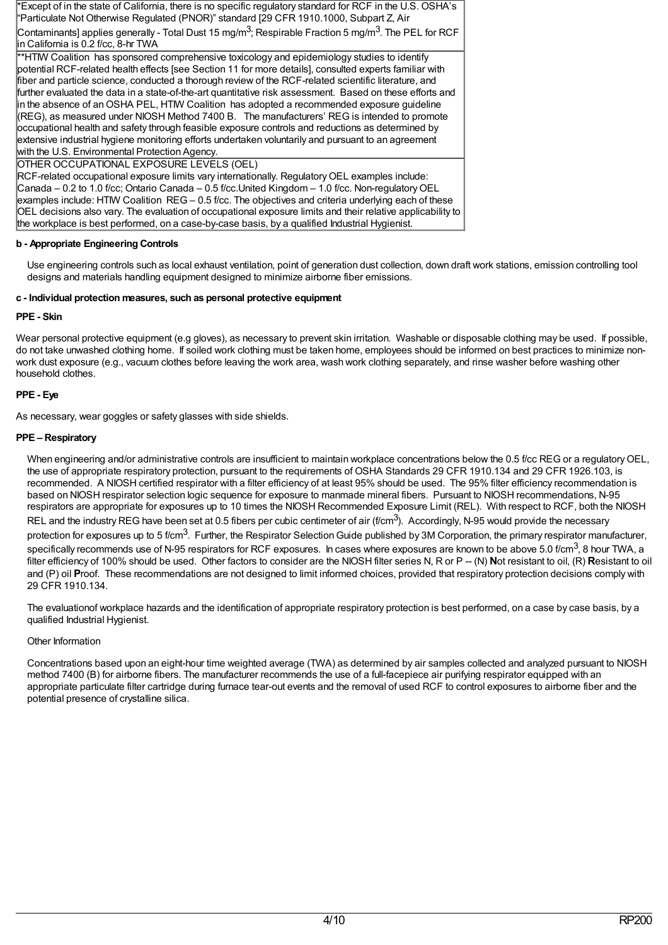\*Except of in the state of California, there is no specific regulatory standard for RCF in the U.S. OSHA's "Particulate Not Otherwise Regulated (PNOR)" standard [29 CFR 1910.1000, Subpart Z, Air Contaminants] applies generally - Total Dust 15 mg/m<sup>3</sup>; Respirable Fraction 5 mg/m<sup>3</sup>. The PEL for RCF in California is 0.2 f/cc, 8-hr TWA

\*\*HTIW Coalition has sponsored comprehensive toxicology and epidemiology studies to identify potential RCF-related health effects [see Section 11 for more details], consulted experts familiar with fiber and particle science, conducted a thorough review of the RCF-related scientific literature, and further evaluated the data in a state-of-the-art quantitative risk assessment. Based on these efforts and in the absence of anOSHA PEL, HTIW Coalition has adopted a recommended exposure guideline (REG), as measured under NIOSH Method 7400 B. The manufacturers' REG is intended to promote occupational health and safety through feasible exposure controls and reductions as determined by extensive industrial hygiene monitoring efforts undertaken voluntarily and pursuant to an agreement with the U.S. Environmental Protection Agency.

OTHER OCCUPATIONAL EXPOSURE LEVELS (OEL)

RCF-related occupational exposure limits vary internationally. RegulatoryOEL examples include: Canada  $-0.2$  to 1.0 f/cc; Ontario Canada  $-0.5$  f/cc. United Kingdom  $-1.0$  f/cc. Non-regulatory OEL examples include: HTIW Coalition REG – 0.5 f/cc. The objectives and criteria underlying each of these OEL decisions also vary. The evaluation of occupational exposure limits and their relative applicability to the workplace is best performed, on a case-by-case basis, by a qualified Industrial Hygienist.

## **b - Appropriate Engineering Controls**

Use engineering controls such as local exhaust ventilation, point of generation dust collection, down draft work stations, emission controlling tool designs and materials handling equipment designed to minimize airborne fiber emissions.

## **c - Individual protection measures, such as personal protective equipment**

## **PPE - Skin**

Wear personal protective equipment (e.g gloves), as necessary to prevent skin irritation. Washable or disposable clothing may be used. If possible, do not take unwashed clothing home. If soiled work clothing must be taken home, employees should be informed on best practices to minimize nonwork dust exposure (e.g., vacuum clothes before leaving the work area, wash work clothing separately, and rinse washer before washing other household clothes.

## **PPE - Eye**

As necessary, wear goggles or safety glasses with side shields.

## **PPE – Respiratory**

When engineering and/or administrative controls are insufficient to maintain workplace concentrations below the 0.5 f/cc REG or a regulatory OEL, the use of appropriate respiratory protection, pursuant to the requirements of OSHA Standards 29 CFR 1910.134 and 29 CFR 1926.103, is recommended. A NIOSH certified respirator with a filter efficiency of at least 95% should be used. The 95% filter efficiency recommendation is based on NIOSH respirator selection logic sequence for exposure to manmade mineral fibers. Pursuant to NIOSH recommendations, N-95 respirators are appropriate for exposures up to 10 times the NIOSH Recommended Exposure Limit (REL). With respect to RCF, both the NIOSH REL and the industry REG have been set at 0.5 fibers per cubic centimeter of air (f/cm<sup>3</sup>). Accordingly, N-95 would provide the necessary protection for exposures up to 5 f/cm<sup>3</sup>. Further, the Respirator Selection Guide published by 3M Corporation, the primary respirator manufacturer, specifically recommends use of N-95 respirators for RCF exposures. In cases where exposures are known to be above 5.0 f/cm $^3$ , 8 hour TWA, a filter efficiency of 100% should be used. Other factors to consider are the NIOSH filter series N, R or P -- (N) Not resistant to oil, (R) Resistant to oil and (P) oil **Proof.** These recommendations are not designed to limit informed choices, provided that respiratory protection decisions comply with 29 CFR 1910.134.

The evaluationof workplace hazards and the identification of appropriate respiratory protection is best performed, on a case by case basis, by a qualified Industrial Hygienist.

## Other Information

Concentrations based upon an eight-hour time weighted average (TWA) as determined by air samples collected and analyzed pursuant to NIOSH method 7400 (B) for airborne fibers. The manufacturer recommends the use of a full-facepiece air purifying respirator equipped with an appropriate particulate filter cartridge during furnace tear-out events and the removal of used RCF to control exposures to airborne fiber and the potential presence of crystalline silica.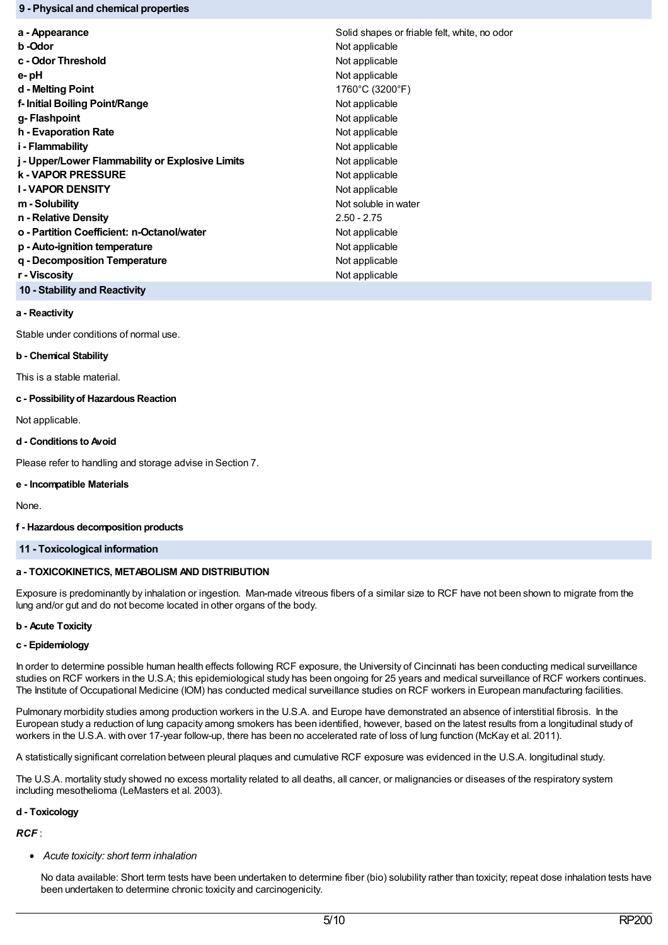## **9 - Physical and chemical properties**

| a - Appearance                                   | Solid shapes or friable felt, white, no odor |  |
|--------------------------------------------------|----------------------------------------------|--|
| b -Odor                                          | Not applicable                               |  |
| c - Odor Threshold                               | Not applicable                               |  |
| e- pH                                            | Not applicable                               |  |
| d - Melting Point                                | 1760°C (3200°F)                              |  |
| f-Initial Boiling Point/Range                    | Not applicable                               |  |
| g- Flashpoint                                    | Not applicable                               |  |
| h - Evaporation Rate                             | Not applicable                               |  |
| i - Flammability                                 | Not applicable                               |  |
| j - Upper/Lower Flammability or Explosive Limits | Not applicable                               |  |
| <b>k - VAPOR PRESSURE</b>                        | Not applicable                               |  |
| <b>I-VAPOR DENSITY</b>                           | Not applicable                               |  |
| m - Solubility                                   | Not soluble in water                         |  |
| n - Relative Density                             | $2.50 - 2.75$                                |  |
| o - Partition Coefficient: n-Octanol/water       | Not applicable                               |  |
| p - Auto-ignition temperature                    | Not applicable                               |  |
| q - Decomposition Temperature                    | Not applicable                               |  |
| r - Viscositv                                    | Not applicable                               |  |
|                                                  |                                              |  |

**10 - Stability and Reactivity**

## **a - Reactivity**

Stable under conditions of normal use.

### **b - Chemical Stability**

This is a stable material.

## **c - Possibilityof Hazardous Reaction**

Not applicable.

## **d - Conditions to Avoid**

Please refer to handling and storage advise in Section 7.

## **e - Incompatible Materials**

None.

## **f - Hazardous decomposition products**

## **11 - Toxicological information**

## **a - TOXICOKINETICS, METABOLISM AND DISTRIBUTION**

Exposure is predominantly by inhalation or ingestion. Man-made vitreous fibers of a similar size to RCF have not been shown to migrate from the lung and/or gut and do not become located in other organs of the body.

## **b - Acute Toxicity**

## **c - Epidemiology**

In order to determine possible human health effects following RCF exposure, the University of Cincinnati has been conducting medical surveillance studies on RCF workers in the U.S.A; this epidemiological study has been ongoing for 25 years and medical surveillance of RCF workers continues. The Institute of Occupational Medicine (IOM) has conducted medical surveillance studies on RCF workers in European manufacturing facilities.

Pulmonary morbidity studies among production workers in the U.S.A. and Europe have demonstrated an absence of interstitial fibrosis. In the European study a reduction of lung capacity among smokers has been identified, however, based on the latest results from a longitudinal study of workers in the U.S.A. with over 17-year follow-up, there has been no accelerated rate of loss of lung function (McKay et al. 2011).

A statistically significant correlation between pleural plaques and cumulative RCF exposure was evidenced in the U.S.A. longitudinal study.

The U.S.A. mortality study showed no excess mortality related to all deaths, all cancer, or malignancies or diseases of the respiratory system including mesothelioma (LeMasters et al. 2003).

## **d - Toxicology**

*RCF* :

*Acute toxicity: short term inhalation*

No data available: Short term tests have been undertaken to determine fiber (bio) solubility rather than toxicity; repeat dose inhalation tests have been undertaken to determine chronic toxicity and carcinogenicity.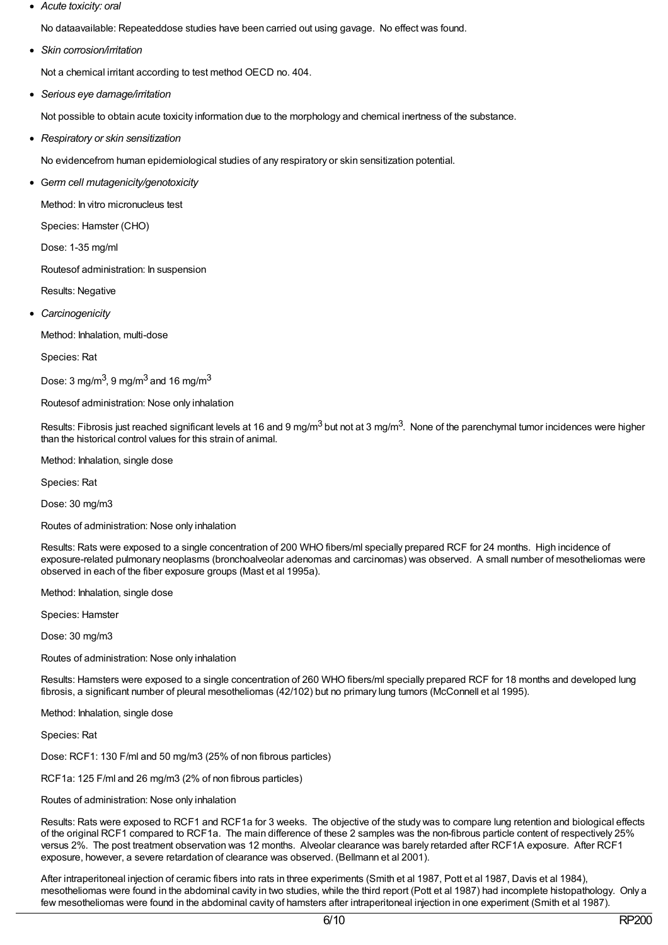*Acute toxicity: oral*

No dataavailable: Repeateddose studies have been carried out using gavage. No effect was found.

*Skin corrosion/irritation*

Not a chemical irritant according to test method OECD no. 404.

*Serious eye damage/irritation*

Not possible to obtain acute toxicity information due to the morphology and chemical inertness of the substance.

*Respiratory or skin sensitization*

No evidencefrom human epidemiological studies of any respiratory or skin sensitization potential.

G*erm cell mutagenicity/genotoxicity*

Method: In vitro micronucleus test

Species: Hamster (CHO)

Dose: 1-35 mg/ml

Routesof administration: In suspension

Results: Negative

*Carcinogenicity*

Method: Inhalation, multi-dose

Species: Rat

Dose: 3 mg/m $^3$ , 9 mg/m $^3$  and 16 mg/m $^3$ 

Routesof administration: Nose only inhalation

Results: Fibrosis just reached significant levels at 16 and 9 mg/m<sup>3</sup> but not at 3 mg/m<sup>3</sup>. None of the parenchymal tumor incidences were higher than the historical control values for this strain of animal.

Method: Inhalation, single dose

Species: Rat

Dose: 30 mg/m3

Routes of administration: Nose only inhalation

Results: Rats were exposed to a single concentration of 200 WHO fibers/ml specially prepared RCF for 24 months. High incidence of exposure-related pulmonary neoplasms (bronchoalveolar adenomas and carcinomas) was observed. A small number of mesotheliomas were observed in each of the fiber exposure groups (Mast et al 1995a).

Method: Inhalation, single dose

Species: Hamster

Dose: 30 mg/m3

Routes of administration: Nose only inhalation

Results: Hamsters were exposed to a single concentration of 260 WHO fibers/ml specially prepared RCF for 18 months and developed lung fibrosis, a significant number of pleural mesotheliomas (42/102) but no primary lung tumors (McConnell et al 1995).

Method: Inhalation, single dose

Species: Rat

Dose: RCF1: 130 F/ml and 50 mg/m3 (25% of non fibrous particles)

RCF1a: 125 F/ml and 26 mg/m3 (2% of non fibrous particles)

Routes of administration: Nose only inhalation

Results: Rats were exposed to RCF1 and RCF1a for 3 weeks. The objective of the study was to compare lung retention and biological effects of the original RCF1 compared to RCF1a. The main difference of these 2 samples was the non-fibrous particle content of respectively 25% versus 2%. The post treatment observation was 12 months. Alveolar clearance was barely retarded after RCF1A exposure. After RCF1 exposure, however, a severe retardation of clearance was observed. (Bellmann et al 2001).

After intraperitoneal injection of ceramic fibers into rats in three experiments (Smith et al 1987, Pott et al 1987, Davis et al 1984), mesotheliomas were found in the abdominal cavity in two studies, while the third report (Pott et al 1987) had incomplete histopathology. Only a few mesotheliomas were found in the abdominal cavity of hamsters after intraperitoneal injection in one experiment (Smith et al 1987).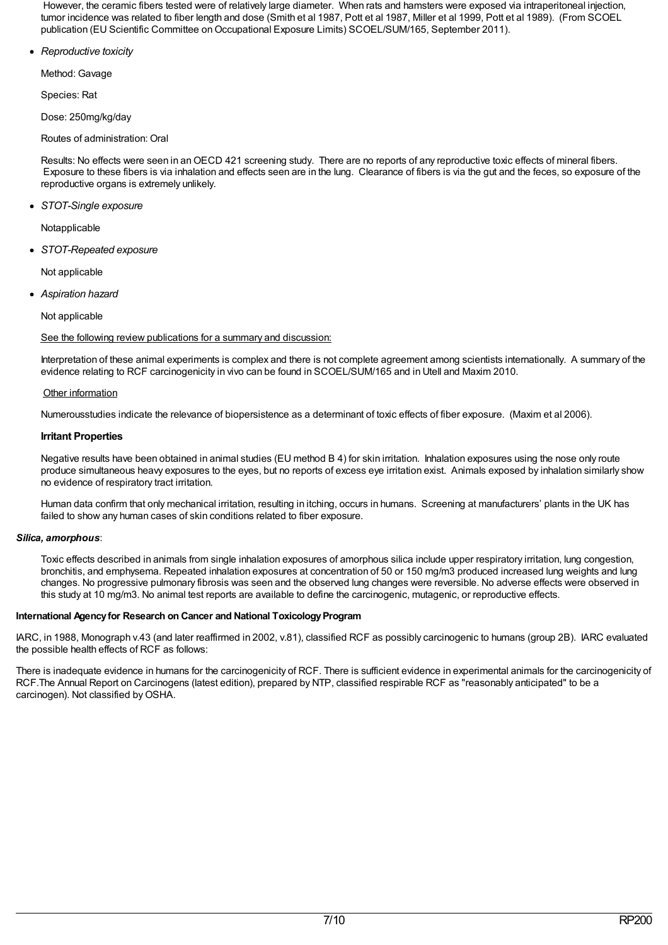However, the ceramic fibers tested were of relatively large diameter. When rats and hamsters were exposed via intraperitoneal injection, tumor incidence was related to fiber length and dose (Smith et al 1987, Pott et al 1987, Miller et al 1999, Pott et al 1989). (From SCOEL publication (EU Scientific Committee on Occupational Exposure Limits) SCOEL/SUM/165, September 2011).

*Reproductive toxicity*

Method: Gavage

Species: Rat

Dose: 250mg/kg/day

Routes of administration: Oral

Results: No effects were seen in anOECD 421 screening study. There are no reports of any reproductive toxic effects of mineral fibers. Exposure to these fibers is via inhalation and effects seen are in the lung. Clearance of fibers is via the gut and the feces, so exposure of the reproductive organs is extremely unlikely.

*STOT-Single exposure*

Notapplicable

*STOT-Repeated exposure*

Not applicable

*Aspiration hazard*

Not applicable

See the following review publications for a summary and discussion:

Interpretation of these animal experiments is complex and there is not complete agreement among scientists internationally. A summary of the evidence relating to RCF carcinogenicity in vivo can be found in SCOEL/SUM/165 and in Utell and Maxim 2010.

## Other information

Numerousstudies indicate the relevance of biopersistence as a determinant of toxic effects of fiber exposure. (Maxim et al 2006).

# **Irritant Properties**

Negative results have been obtained in animal studies (EU method B 4) for skin irritation. Inhalation exposures using the nose only route produce simultaneous heavy exposures to the eyes, but no reports of excess eye irritation exist. Animals exposed by inhalation similarly show no evidence of respiratory tract irritation.

Human data confirm that only mechanical irritation, resulting in itching, occurs in humans. Screening at manufacturers' plants in the UK has failed to show any human cases of skin conditions related to fiber exposure.

## *Silica, amorphous*:

Toxic effects described in animals from single inhalation exposures of amorphous silica include upper respiratory irritation, lung congestion, bronchitis, and emphysema. Repeated inhalation exposures at concentration of 50 or 150 mg/m3 produced increased lung weights and lung changes. No progressive pulmonary fibrosis was seen and the observed lung changes were reversible. No adverse effects were observed in this study at 10 mg/m3. No animal test reports are available to define the carcinogenic, mutagenic, or reproductive effects.

## **International Agency for Research on Cancer and National Toxicology Program**

IARC, in 1988, Monograph v.43 (and later reaffirmed in 2002, v.81), classified RCF as possibly carcinogenic to humans (group 2B). IARC evaluated the possible health effects of RCF as follows:

There is inadequate evidence in humans for the carcinogenicity of RCF. There is sufficient evidence in experimental animals for the carcinogenicity of RCF.The Annual Report on Carcinogens (latest edition), prepared by NTP, classified respirable RCF as "reasonably anticipated" to be a carcinogen). Not classified by OSHA.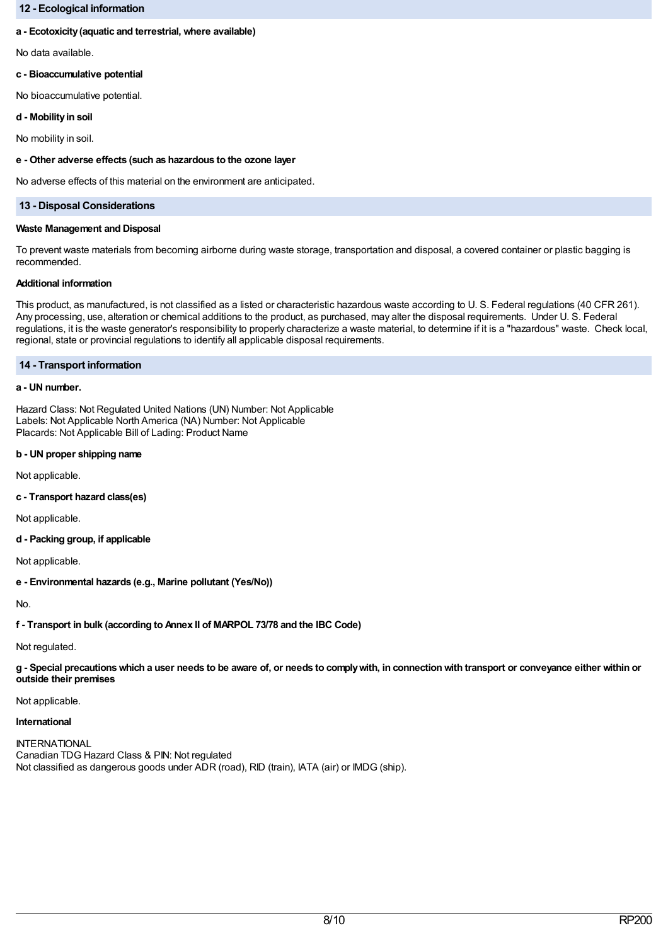## **12 - Ecological information**

## **a - Ecotoxicity(aquatic and terrestrial, where available)**

No data available.

### **c - Bioaccumulative potential**

No bioaccumulative potential.

## **d - Mobilityin soil**

No mobility in soil.

## **e - Other adverse effects (such as hazardous to the ozone layer**

No adverse effects of this material on the environment are anticipated.

## **13 - Disposal Considerations**

#### **Waste Management and Disposal**

To prevent waste materials from becoming airborne during waste storage, transportation and disposal, a covered container or plastic bagging is recommended.

#### **Additional information**

This product, as manufactured, is not classified as a listed or characteristic hazardous waste according to U. S. Federal regulations (40 CFR 261). Any processing, use, alteration or chemical additions to the product, as purchased, may alter the disposal requirements. Under U. S. Federal regulations, it is the waste generator's responsibility to properly characterize a waste material, to determine if it is a "hazardous" waste. Check local, regional, state or provincial regulations to identify all applicable disposal requirements.

## **14 - Transport information**

## **a - UN number.**

Hazard Class: Not Regulated United Nations (UN) Number: Not Applicable Labels: Not Applicable North America (NA) Number: Not Applicable Placards: Not Applicable Bill of Lading: Product Name

## **b - UN proper shipping name**

Not applicable.

**c - Transport hazard class(es)**

Not applicable.

**d - Packing group, if applicable**

Not applicable.

**e - Environmental hazards (e.g., Marine pollutant (Yes/No))**

No.

**f - Transport in bulk (according to Annex II of MARPOL 73/78 and the IBC Code)**

Not regulated.

g - Special precautions which a user needs to be aware of, or needs to comply with, in connection with transport or conveyance either within or **outside their premises**

Not applicable.

## **International**

**INTERNATIONAL** Canadian TDG Hazard Class & PIN: Not regulated Not classified as dangerous goods under ADR (road), RID (train), IATA (air) or IMDG (ship).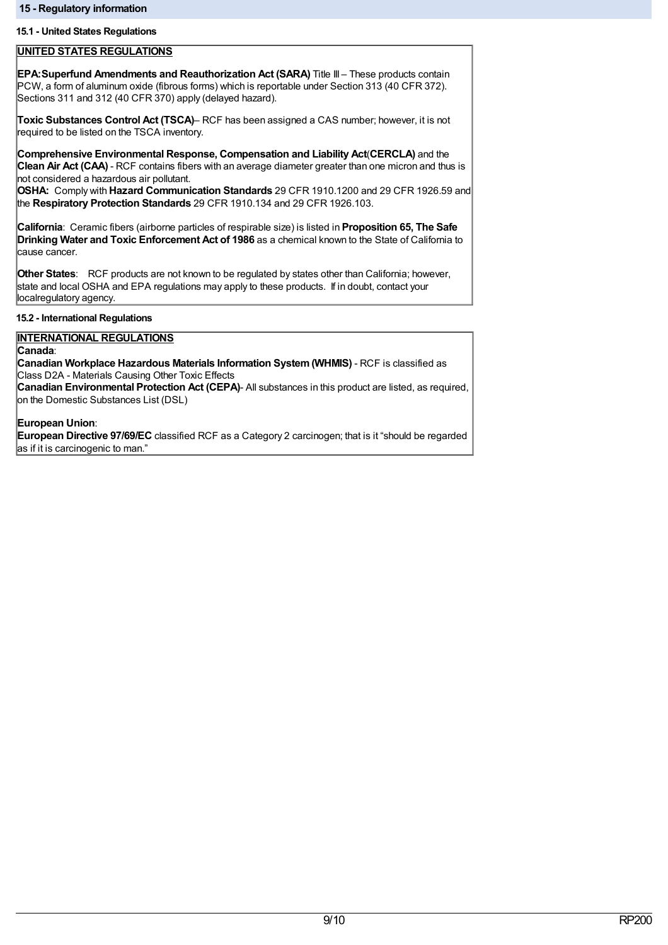## **15.1 - United States Regulations**

## **UNITED STATES REGULATIONS**

**EPA:Superfund Amendments and Reauthorization Act (SARA)** Title III – These products contain PCW, a form of aluminum oxide (fibrous forms) which is reportable under Section 313 (40 CFR 372). Sections 311 and 312 (40 CFR 370) apply (delayed hazard).

**Toxic Substances Control Act (TSCA)**– RCF has been assigned a CAS number; however, it is not required to be listed on the TSCA inventory.

**Comprehensive Environmental Response, Compensation and Liability Act**(**CERCLA)** and the **Clean Air Act (CAA)** - RCF contains fibers with an average diameter greater than one micron and thus is not considered a hazardous air pollutant.

**OSHA:** Comply with **Hazard Communication Standards** 29 CFR 1910.1200 and 29 CFR 1926.59 and the **Respiratory Protection Standards** 29 CFR 1910.134 and 29 CFR 1926.103.

**California**: Ceramic fibers (airborne particles of respirable size) is listed in **Proposition 65, The Safe Drinking Water and Toxic Enforcement Act of 1986** as a chemical known to the State of California to cause cancer.

**Other States**: RCF products are not known to be regulated by states other than California; however, state and local OSHA and EPA regulations may apply to these products. If in doubt, contact your localregulatory agency.

## **15.2 - International Regulations**

# **INTERNATIONAL REGULATIONS**

## **Canada**:

**Canadian Workplace Hazardous Materials Information System(WHMIS)** - RCF is classified as Class D2A - Materials Causing Other Toxic Effects

**Canadian Environmental Protection Act (CEPA)**- All substances in this product are listed, as required, on the Domestic Substances List (DSL)

## **European Union**:

**European Directive 97/69/EC** classified RCF as a Category 2 carcinogen; that is it "should be regarded as if it is carcinogenic to man."